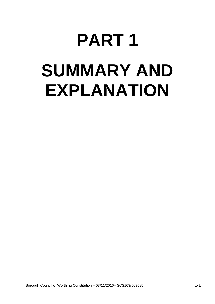# **PART 1 SUMMARY AND EXPLANATION**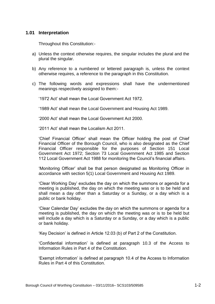## **1.01 Interpretation**

Throughout this Constitution:-

- a) Unless the context otherwise requires, the singular includes the plural and the plural the singular.
- b) Any reference to a numbered or lettered paragraph is, unless the context otherwise requires, a reference to the paragraph in this Constitution.
- c) The following words and expressions shall have the undermentioned meanings respectively assigned to them:-

'1972 Act' shall mean the Local Government Act 1972.

'1989 Act' shall mean the Local Government and Housing Act 1989.

'2000 Act' shall mean the Local Government Act 2000.

'2011 Act' shall mean the Localism Act 2011.

'Chief Financial Officer' shall mean the Officer holding the post of Chief Financial Officer of the Borough Council, who is also designated as the Chief Financial Officer responsible for the purposes of Section 151 Local Government Act 1972; Section 73 Local Government Act 1985 and Section 112 Local Government Act 1988 for monitoring the Council's financial affairs.

'Monitoring Officer' shall be that person designated as Monitoring Officer in accordance with section 5(1) Local Government and Housing Act 1989.

'Clear Working Day' excludes the day on which the summons or agenda for a meeting is published, the day on which the meeting was or is to be held and shall mean a day other than a Saturday or a Sunday, or a day which is a public or bank holiday.

'Clear Calendar Day' excludes the day on which the summons or agenda for a meeting is published, the day on which the meeting was or is to be held but will include a day which is a Saturday or a Sunday, or a day which is a public or bank holiday.

'Key Decision' is defined in Article 12.03 (b) of Part 2 of the Constitution.

'Confidential information' is defined at paragraph 10.3 of the Access to Information Rules in Part 4 of the Constitution.

'Exempt information' is defined at paragraph 10.4 of the Access to Information Rules in Part 4 of this Constitution.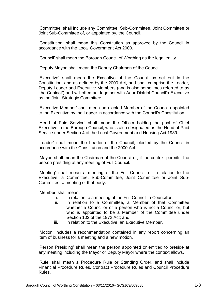'Committee' shall include any Committee, Sub-Committee, Joint Committee or Joint Sub-Committee of, or appointed by, the Council.

'Constitution' shall mean this Constitution as approved by the Council in accordance with the Local Government Act 2000.

'Council' shall mean the Borough Council of Worthing as the legal entity.

'Deputy Mayor' shall mean the Deputy Chairman of the Council.

'Executive' shall mean the Executive of the Council as set out in the Constitution, and as defined by the 2000 Act, and shall comprise the Leader, Deputy Leader and Executive Members (and is also sometimes referred to as 'the Cabinet') and will often act together with Adur District Council's Executive as the Joint Strategic Committee.

'Executive Member' shall mean an elected Member of the Council appointed to the Executive by the Leader in accordance with the Council's Constitution.

'Head of Paid Service' shall mean the Officer holding the post of Chief Executive in the Borough Council, who is also designated as the Head of Paid Service under Section 4 of the Local Government and Housing Act 1989.

'Leader' shall mean the Leader of the Council, elected by the Council in accordance with the Constitution and the 2000 Act.

'Mayor' shall mean the Chairman of the Council or, if the context permits, the person presiding at any meeting of Full Council.

'Meeting' shall mean a meeting of the Full Council, or in relation to the Executive, a Committee, Sub-Committee, Joint Committee or Joint Sub-Committee, a meeting of that body.

'Member' shall mean:

- i. in relation to a meeting of the Full Council, a Councillor;
- ii. in relation to a Committee, a Member of that Committee whether a Councillor or a person who is not a Councillor, but who is appointed to be a Member of the Committee under Section 102 of the 1972 Act; and
- iii. in relation to the Executive, an Executive Member.

'Motion' includes a recommendation contained in any report concerning an item of business for a meeting and a new motion.

'Person Presiding' shall mean the person appointed or entitled to preside at any meeting including the Mayor or Deputy Mayor where the context allows.

'Rule' shall mean a Procedure Rule or Standing Order, and shall include Financial Procedure Rules, Contract Procedure Rules and Council Procedure Rules.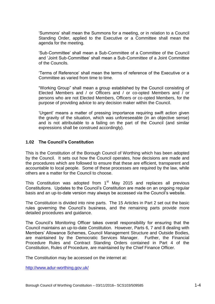'Summons' shall mean the Summons for a meeting, or in relation to a Council Standing Order, applied to the Executive or a Committee shall mean the agenda for the meeting.

'Sub-Committee' shall mean a Sub-Committee of a Committee of the Council and 'Joint Sub-Committee' shall mean a Sub-Committee of a Joint Committee of the Councils.

'Terms of Reference' shall mean the terms of reference of the Executive or a Committee as varied from time to time.

"Working Group" shall mean a group established by the Council consisting of Elected Members and / or Officers and / or co-opted Members and / or persons who are not Elected Members, Officers or co-opted Members, for the purpose of providing advice to any decision maker within the Council.

'Urgent' means a matter of pressing importance requiring swift action given the gravity of the situation, which was unforeseeable (in an objective sense) and is not attributable to a failing on the part of the Council (and similar expressions shall be construed accordingly).

### **1.02 The Council's Constitution**

This is the Constitution of the Borough Council of Worthing which has been adopted by the Council. It sets out how the Council operates, how decisions are made and the procedures which are followed to ensure that these are efficient, transparent and accountable to local people. Some of these processes are required by the law, while others are a matter for the Council to choose.

This Constitution was adopted from  $1<sup>st</sup>$  May 2015 and replaces all previous Constitutions. Updates to the Council's Constitution are made on an ongoing regular basis and an up-to-date version may always be accessed via the Council's website.

The Constitution is divided into nine parts. The 15 Articles in Part 2 set out the basic rules governing the Council's business, and the remaining parts provide more detailed procedures and guidance.

The Council's Monitoring Officer takes overall responsibility for ensuring that the Council maintains an up-to-date Constitution. However, Parts 6, 7 and 8 dealing with Members' Allowance Schemes, Council Management Structure and Outside Bodies, are maintained by the Democratic Services Manager. Further, the Financial Procedure Rules and Contract Standing Orders contained in Part 4 of the Constitution, Rules of Procedure, are maintained by the Chief Finance Officer.

The Constitution may be accessed on the internet at:

<http://www.adur-worthing.gov.uk/>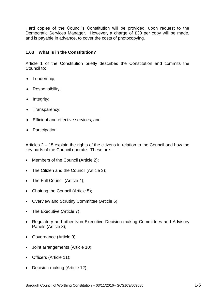Hard copies of the Council's Constitution will be provided, upon request to the Democratic Services Manager. However, a charge of £30 per copy will be made, and is payable in advance, to cover the costs of photocopying.

# **1.03 What is in the Constitution?**

Article 1 of the Constitution briefly describes the Constitution and commits the Council to:

- Leadership;
- Responsibility;
- Integrity;
- Transparency;
- **Efficient and effective services; and**
- Participation.

Articles 2 – 15 explain the rights of the citizens in relation to the Council and how the key parts of the Council operate. These are:

- Members of the Council (Article 2);
- The Citizen and the Council (Article 3);
- The Full Council (Article 4);
- Chairing the Council (Article 5);
- Overview and Scrutiny Committee (Article 6);
- The Executive (Article 7);
- Regulatory and other Non-Executive Decision-making Committees and Advisory Panels (Article 8);
- Governance (Article 9);
- Joint arrangements (Article 10);
- Officers (Article 11);
- Decision-making (Article 12);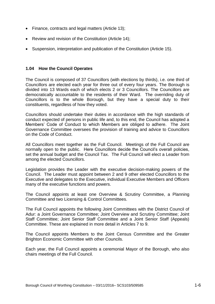- Finance, contracts and legal matters (Article 13);
- Review and revision of the Constitution (Article 14):
- Suspension, interpretation and publication of the Constitution (Article 15).

### **1.04 How the Council Operates**

The Council is composed of 37 Councillors (with elections by thirds), i.e. one third of Councillors are elected each year for three out of every four years. The Borough is divided into 13 Wards each of which elects 2 or 3 Councillors. The Councillors are democratically accountable to the residents of their Ward. The overriding duty of Councillors is to the whole Borough, but they have a special duty to their constituents, regardless of how they voted.

Councillors should undertake their duties in accordance with the high standards of conduct expected of persons in public life and, to this end, the Council has adopted a Members' Code of Conduct to which Members are obliged to adhere. The Joint Governance Committee oversees the provision of training and advice to Councillors on the Code of Conduct.

All Councillors meet together as the Full Council. Meetings of the Full Council are normally open to the public. Here Councillors decide the Council's overall policies, set the annual budget and the Council Tax. The Full Council will elect a Leader from among the elected Councillors.

Legislation provides the Leader with the executive decision-making powers of the Council. The Leader must appoint between 2 and 9 other elected Councillors to the Executive and delegates to the Executive, individual Executive Members and Officers many of the executive functions and powers.

The Council appoints at least one Overview & Scrutiny Committee, a Planning Committee and two Licensing & Control Committees.

The Full Council appoints the following Joint Committees with the District Council of Adur: a Joint Governance Committee; Joint Overview and Scrutiny Committee; Joint Staff Committee; Joint Senior Staff Committee and a Joint Senior Staff (Appeals) Committee. These are explained in more detail in Articles 7 to 9.

The Council appoints Members to the Joint Census Committee and the Greater Brighton Economic Committee with other Councils.

Each year, the Full Council appoints a ceremonial Mayor of the Borough, who also chairs meetings of the Full Council.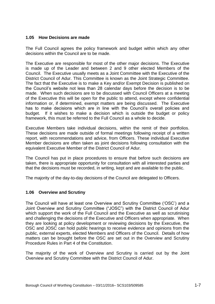### **1.05 How Decisions are made**

The Full Council agrees the policy framework and budget within which any other decisions within the Council are to be made.

The Executive are responsible for most of the other major decisions. The Executive is made up of the Leader and between 2 and 9 other elected Members of the Council. The Executive usually meets as a Joint Committee with the Executive of the District Council of Adur. This Committee is known as the Joint Strategic Committee. The fact that the Executive is to make a Key and/or Exempt Decision is published on the Council's website not less than 28 calendar days before the decision is to be made. When such decisions are to be discussed with Council Officers at a meeting of the Executive this will be open for the public to attend, except where confidential information or, if determined, exempt matters are being discussed. The Executive has to make decisions which are in line with the Council's overall policies and budget. If it wishes to make a decision which is outside the budget or policy framework, this must be referred to the Full Council as a whole to decide.

Executive Members take individual decisions, within the remit of their portfolios. These decisions are made outside of formal meetings following receipt of a written report, with recommendations and advice, from Officers. These individual Executive Member decisions are often taken as joint decisions following consultation with the equivalent Executive Member of the District Council of Adur.

The Council has put in place procedures to ensure that before such decisions are taken, there is appropriate opportunity for consultation with all interested parties and that the decisions must be recorded, in writing, kept and are available to the public.

The majority of the day-to-day decisions of the Council are delegated to Officers.

# **1.06 Overview and Scrutiny**

The Council will have at least one Overview and Scrutiny Committee ('OSC') and a Joint Overview and Scrutiny Committee ("JOSC") with the District Council of Adur which support the work of the Full Council and the Executive as well as scrutinising and challenging the decisions of the Executive and Officers when appropriate. When they are looking at policy development or reviewing decisions by the Executive, the OSC and JOSC can hold public hearings to receive evidence and opinions from the public, external experts, elected Members and Officers of the Council. Details of how matters can be brought before the OSC are set out in the Overview and Scrutiny Procedure Rules in Part 4 of the Constitution.

The majority of the work of Overview and Scrutiny is carried out by the Joint Overview and Scrutiny Committee with the District Council of Adur.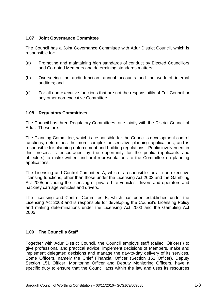## **1.07 Joint Governance Committee**

The Council has a Joint Governance Committee with Adur District Council, which is responsible for:

- (a) Promoting and maintaining high standards of conduct by Elected Councillors and Co-opted Members and determining standards matters;
- (b) Overseeing the audit function, annual accounts and the work of internal auditors; and
- (c) For all non-executive functions that are not the responsibility of Full Council or any other non-executive Committee.

### **1.08 Regulatory Committees**

The Council has three Regulatory Committees, one jointly with the District Council of Adur. These are:-

The Planning Committee, which is responsible for the Council's development control functions, determines the more complex or sensitive planning applications, and is responsible for planning enforcement and building regulations. Public involvement in this process is encouraged by the opportunity for the public (applicants and objectors) to make written and oral representations to the Committee on planning applications.

The Licensing and Control Committee A, which is responsible for all non-executive licensing functions, other than those under the Licensing Act 2003 and the Gambling Act 2005, including the licensing of private hire vehicles, drivers and operators and hackney carriage vehicles and drivers.

The Licensing and Control Committee B, which has been established under the Licensing Act 2003 and is responsible for developing the Council's Licensing Policy and making determinations under the Licensing Act 2003 and the Gambling Act 2005.

# **1.09 The Council's Staff**

Together with Adur District Council, the Council employs staff (called 'Officers') to give professional and practical advice, implement decisions of Members, make and implement delegated decisions and manage the day-to-day delivery of its services. Some Officers, namely the Chief Financial Officer (Section 151 Officer), Deputy Section 151 Officer, Monitoring Officer and Deputy Monitoring Officers, have a specific duty to ensure that the Council acts within the law and uses its resources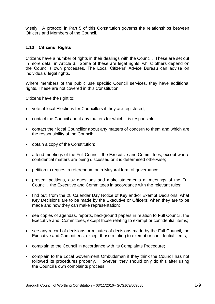wisely. A protocol in Part 5 of this Constitution governs the relationships between Officers and Members of the Council.

## **1.10 Citizens' Rights**

Citizens have a number of rights in their dealings with the Council. These are set out in more detail in Article 3. Some of these are legal rights, whilst others depend on the Council's own processes. The Local Citizens' Advice Bureau can advise on individuals' legal rights.

Where members of the public use specific Council services, they have additional rights. These are not covered in this Constitution.

Citizens have the right to:

- vote at local Elections for Councillors if they are registered;
- contact the Council about any matters for which it is responsible;
- contact their local Councillor about any matters of concern to them and which are the responsibility of the Council;
- obtain a copy of the Constitution;
- attend meetings of the Full Council, the Executive and Committees, except where confidential matters are being discussed or it is determined otherwise;
- petition to request a referendum on a Mayoral form of governance;
- present petitions, ask questions and make statements at meetings of the Full Council, the Executive and Committees in accordance with the relevant rules;
- find out, from the 28 Calendar Day Notice of Key and/or Exempt Decisions, what Key Decisions are to be made by the Executive or Officers; when they are to be made and how they can make representation;
- see copies of agendas, reports, background papers in relation to Full Council, the Executive and Committees, except those relating to exempt or confidential items;
- see any record of decisions or minutes of decisions made by the Full Council, the Executive and Committees, except those relating to exempt or confidential items;
- complain to the Council in accordance with its Complaints Procedure;
- complain to the Local Government Ombudsman if they think the Council has not followed its procedures properly. However, they should only do this after using the Council's own complaints process;